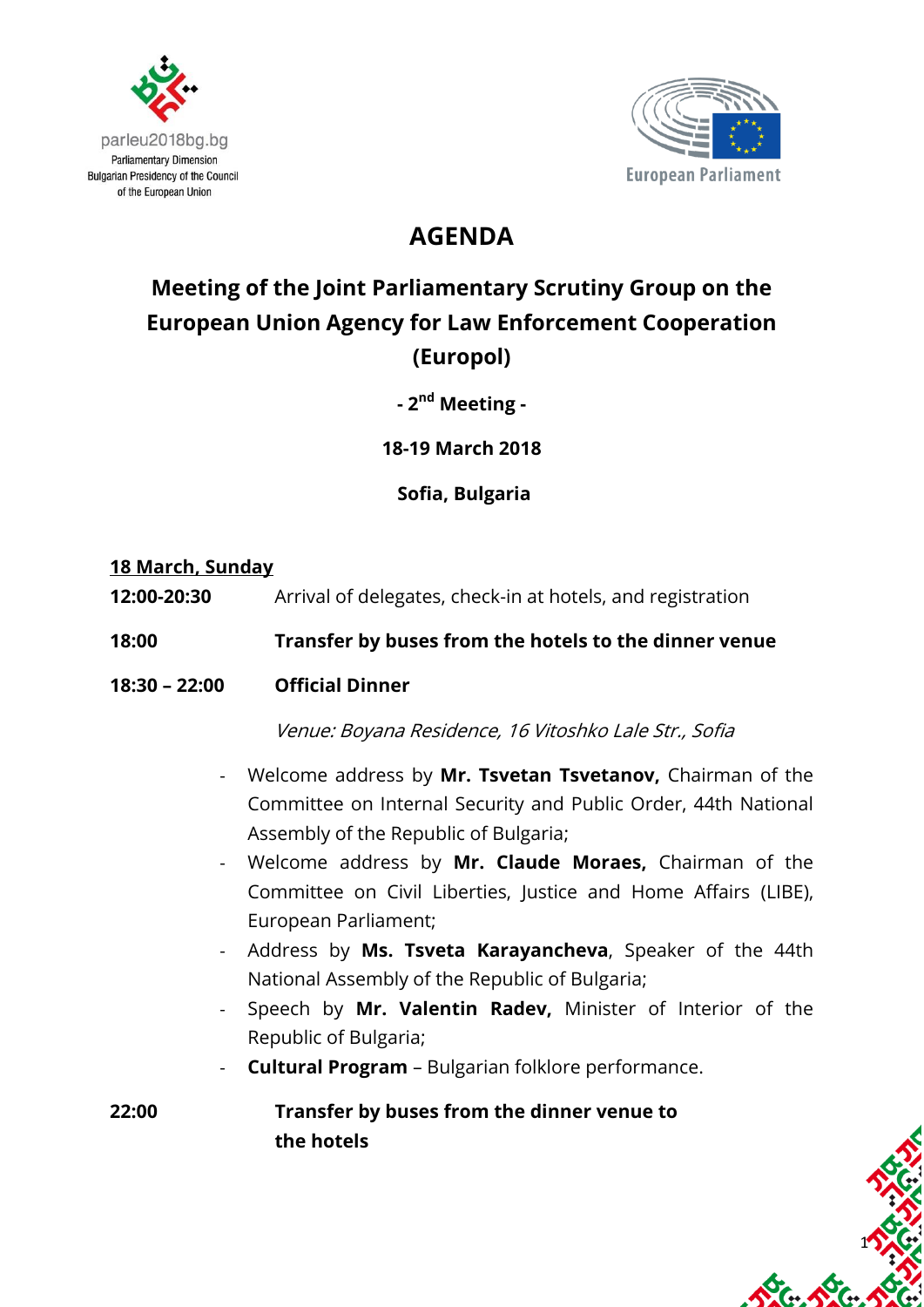



## **AGENDA**

# **Meeting of the Joint Parliamentary Scrutiny Group on the European Union Agency for Law Enforcement Cooperation (Europol)**

**- 2 nd Meeting -**

**18-19 March 2018**

**Sofia, Bulgaria**

#### **18 March, Sunday**

**12:00-20:30** Arrival of delegates, check-in at hotels, and registration

#### **18:00 Transfer by buses from the hotels to the dinner venue**

**18:30 – 22:00 Official Dinner** 

Venue: Boyana Residence, 16 Vitoshko Lale Str., Sofia

- Welcome address by **Mr. Tsvetan Tsvetanov,** Chairman of the Committee on Internal Security and Public Order, 44th National Assembly of the Republic of Bulgaria;
- Welcome address by **Mr. Claude Moraes,** Chairman of the Committee on Civil Liberties, Justice and Home Affairs (LIBE), European Parliament;
- Address by **Ms. Tsveta Karayancheva**, Speaker of the 44th National Assembly of the Republic of Bulgaria;
- Speech by **Mr. Valentin Radev,** Minister of Interior of the Republic of Bulgaria;
- **Cultural Program**  Bulgarian folklore performance.

**22:00 Transfer by buses from the dinner venue to the hotels**

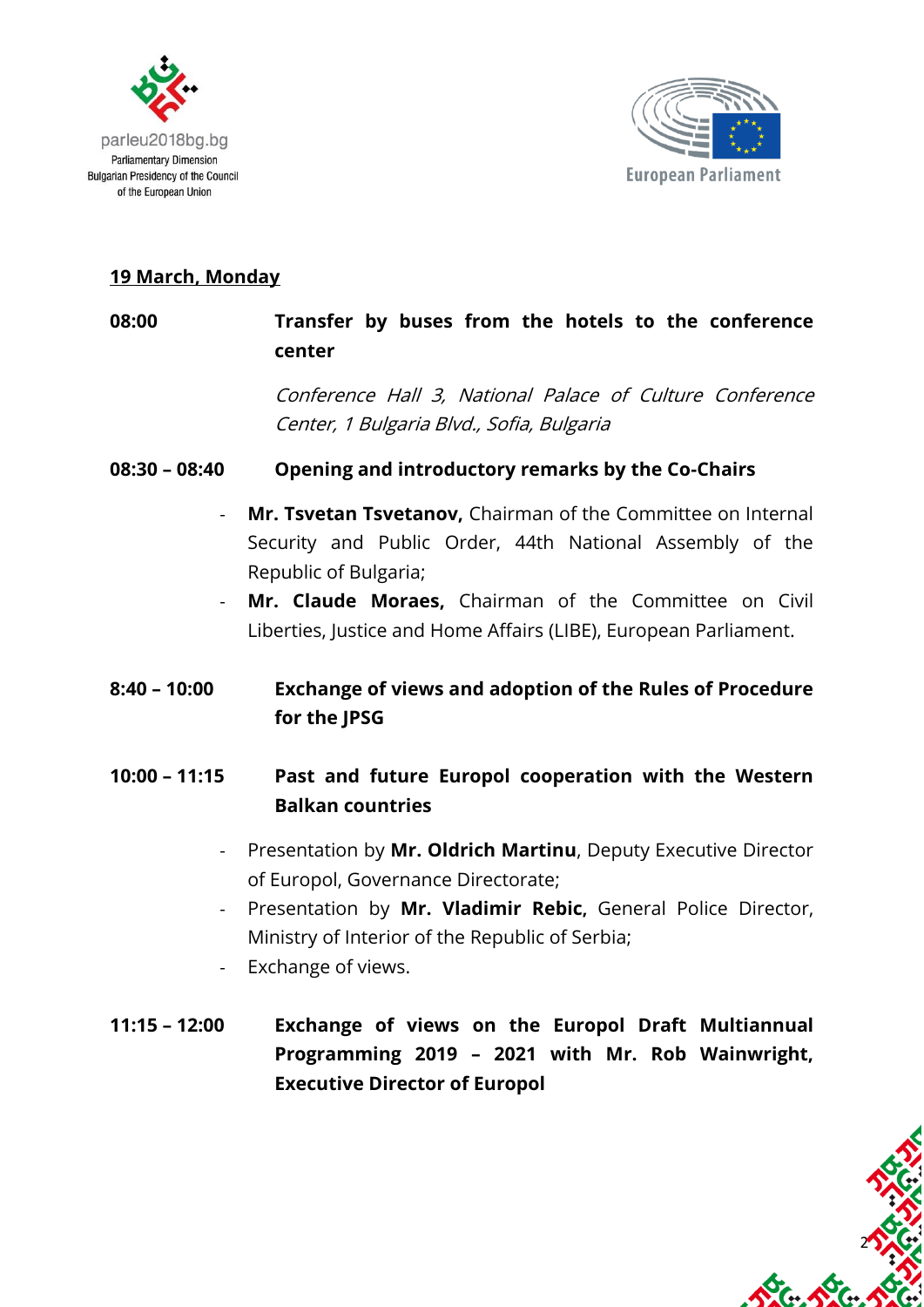



2

#### **19 March, Monday**

# **08:00 Transfer by buses from the hotels to the conference center** Conference Hall 3, National Palace of Culture Conference Center, 1 Bulgaria Blvd., Sofia, Bulgaria **08:30 – 08:40 Opening and introductory remarks by the Co-Chairs** - **Mr. Tsvetan Tsvetanov,** Chairman of the Committee on Internal Security and Public Order, 44th National Assembly of the Republic of Bulgaria; Mr. Claude Moraes, Chairman of the Committee on Civil Liberties, Justice and Home Affairs (LIBE), European Parliament. **8:40 – 10:00 Exchange of views and adoption of the Rules of Procedure for the JPSG 10:00 – 11:15 Past and future Europol cooperation with the Western Balkan countries**

- Presentation by **Mr. Oldrich Martinu**, Deputy Executive Director of Europol, Governance Directorate;
- Presentation by **Mr. Vladimir Rebic,** General Police Director, Ministry of Interior of the Republic of Serbia;
- Exchange of views.
- **11:15 – 12:00 Exchange of views on the Europol Draft Multiannual Programming 2019 – 2021 with Mr. Rob Wainwright, Executive Director of Europol**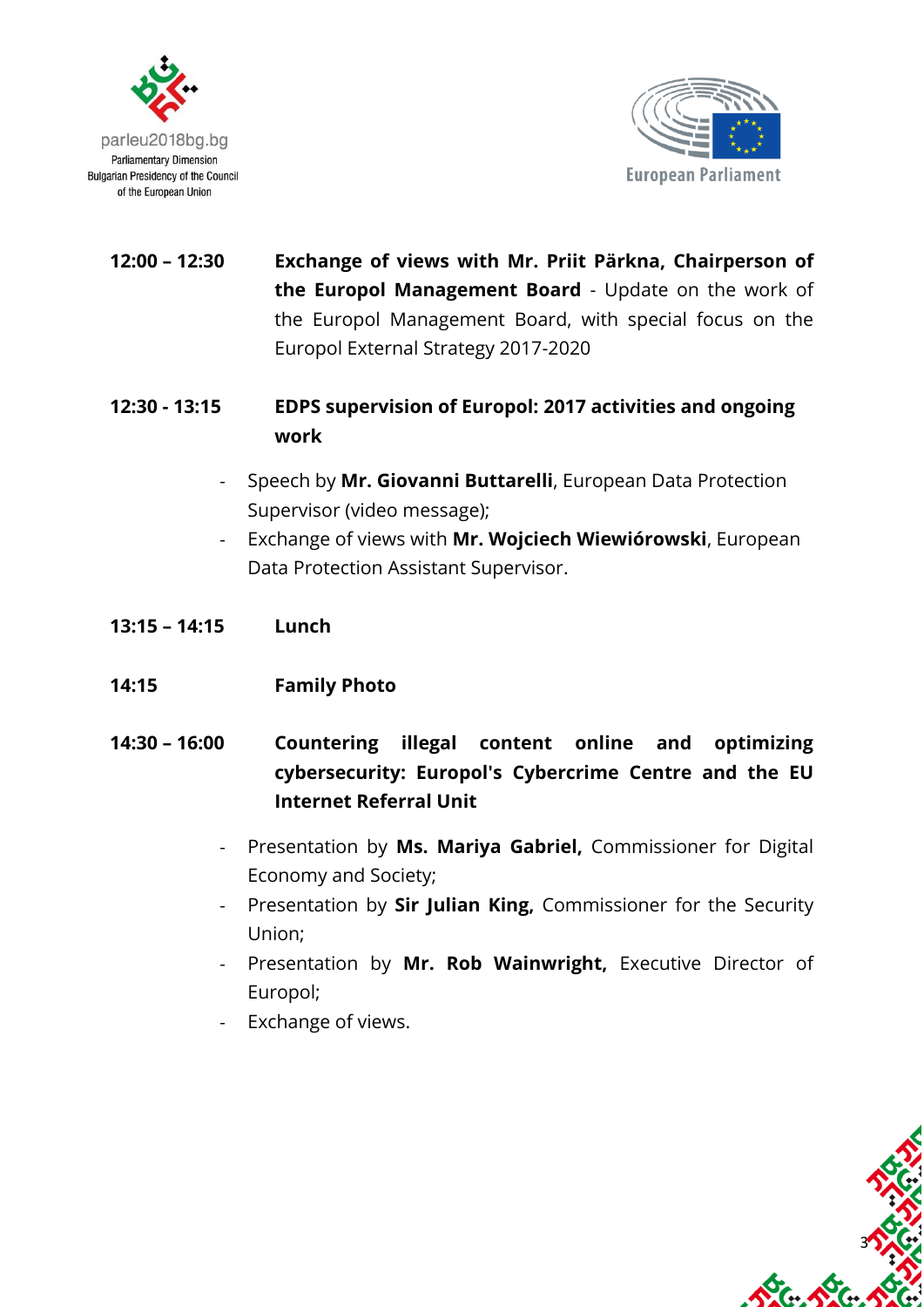



3

**12:00 – 12:30 Exchange of views with Mr. Priit Pärkna, Chairperson of the Europol Management Board** - Update on the work of the Europol Management Board, with special focus on the Europol External Strategy 2017-2020

### **12:30 - 13:15 EDPS supervision of Europol: 2017 activities and ongoing work**

- Speech by **Mr. Giovanni Buttarelli**, European Data Protection Supervisor (video message);
- Exchange of views with **Mr. Wojciech Wiewiórowski**, European Data Protection Assistant Supervisor.
- **13:15 – 14:15 Lunch**
- **14:15 Family Photo**
- **14:30 – 16:00 Countering illegal content online and optimizing cybersecurity: Europol's Cybercrime Centre and the EU Internet Referral Unit**
	- Presentation by **Ms. Mariya Gabriel,** Commissioner for Digital Economy and Society;
	- Presentation by **Sir Julian King,** Commissioner for the Security Union;
	- Presentation by **Mr. Rob Wainwright,** Executive Director of Europol;
	- Exchange of views.